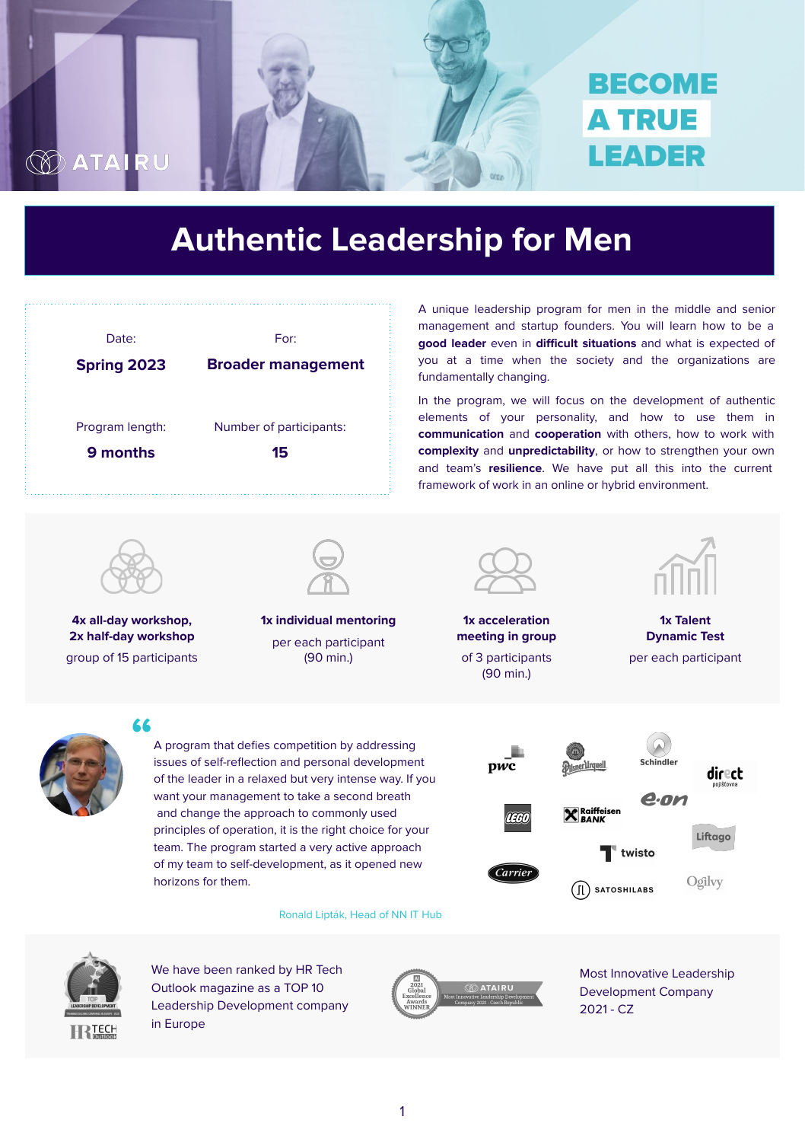A program that defies competition by addressing issues of self-reflection and personal development of the leader in a relaxed but very intense way. If you want your management to take a second breath and change the approach to commonly used principles of operation, it is the right choice for your team. The program started a very active approach of my team to self-development, as it opened new horizons for them.

Ronald Lipták, Head of NN IT Hub





**RTECH** 

**"**



1

**1x individual mentoring**

per each participant (90 min.)



**4x all-day workshop, 2x half-day workshop** group of 15 participants

**1x Talent Dynamic Test**

per each participant



**1x acceleration meeting in group**  of 3 participants (90 min.)



A unique leadership program for men in the middle and senior management and startup founders. You will learn how to be a **good leader** even in **difficult situations** and what is expected of you at a time when the society and the organizations are fundamentally changing.

In the program, we will focus on the development of authentic elements of your personality, and how to use them in **communication** and **cooperation** with others, how to work with **complexity** and **unpredictability**, or how to strengthen your own and team's **resilience**. We have put all this into the current framework of work in an online or hybrid environment.





We have been ranked by HR Tech Outlook magazine as a TOP 10 Leadership Development company in Europe



Most Innovative Leadership Development Company 2021 - CZ



# **Authentic Leadership for Men**